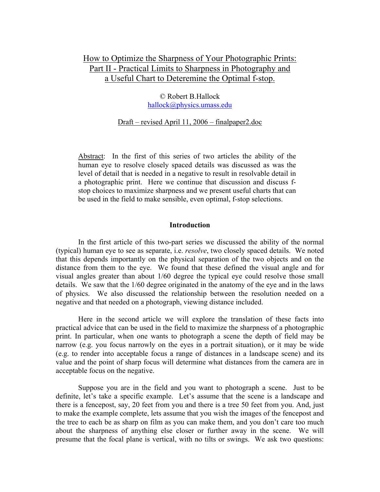# How to Optimize the Sharpness of Your Photographic Prints: Part II - Practical Limits to Sharpness in Photography and a Useful Chart to Deteremine the Optimal f-stop.

© Robert B.Hallock hallock@physics.umass.edu

#### Draft – revised April 11, 2006 – finalpaper2.doc

Abstract: In the first of this series of two articles the ability of the human eye to resolve closely spaced details was discussed as was the level of detail that is needed in a negative to result in resolvable detail in a photographic print. Here we continue that discussion and discuss fstop choices to maximize sharpness and we present useful charts that can be used in the field to make sensible, even optimal, f-stop selections.

#### **Introduction**

 In the first article of this two-part series we discussed the ability of the normal (typical) human eye to see as separate, i.e. *resolve*, two closely spaced details. We noted that this depends importantly on the physical separation of the two objects and on the distance from them to the eye. We found that these defined the visual angle and for visual angles greater than about 1/60 degree the typical eye could resolve those small details. We saw that the 1/60 degree originated in the anatomy of the eye and in the laws of physics. We also discussed the relationship between the resolution needed on a negative and that needed on a photograph, viewing distance included.

 Here in the second article we will explore the translation of these facts into practical advice that can be used in the field to maximize the sharpness of a photographic print. In particular, when one wants to photograph a scene the depth of field may be narrow (e.g. you focus narrowly on the eyes in a portrait situation), or it may be wide (e.g. to render into acceptable focus a range of distances in a landscape scene) and its value and the point of sharp focus will determine what distances from the camera are in acceptable focus on the negative.

 Suppose you are in the field and you want to photograph a scene. Just to be definite, let's take a specific example. Let's assume that the scene is a landscape and there is a fencepost, say, 20 feet from you and there is a tree 50 feet from you. And, just to make the example complete, lets assume that you wish the images of the fencepost and the tree to each be as sharp on film as you can make them, and you don't care too much about the sharpness of anything else closer or further away in the scene. We will presume that the focal plane is vertical, with no tilts or swings. We ask two questions: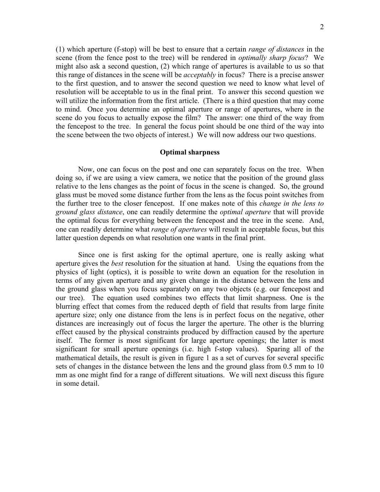(1) which aperture (f-stop) will be best to ensure that a certain *range of distances* in the scene (from the fence post to the tree) will be rendered in *optimally sharp focus*? We might also ask a second question, (2) which range of apertures is available to us so that this range of distances in the scene will be *acceptably* in focus? There is a precise answer to the first question, and to answer the second question we need to know what level of resolution will be acceptable to us in the final print. To answer this second question we will utilize the information from the first article. (There is a third question that may come to mind. Once you determine an optimal aperture or range of apertures, where in the scene do you focus to actually expose the film? The answer: one third of the way from the fencepost to the tree. In general the focus point should be one third of the way into the scene between the two objects of interest.) We will now address our two questions.

# **Optimal sharpness**

 Now, one can focus on the post and one can separately focus on the tree. When doing so, if we are using a view camera, we notice that the position of the ground glass relative to the lens changes as the point of focus in the scene is changed. So, the ground glass must be moved some distance further from the lens as the focus point switches from the further tree to the closer fencepost. If one makes note of this *change in the lens to ground glass distance*, one can readily determine the *optimal aperture* that will provide the optimal focus for everything between the fencepost and the tree in the scene. And, one can readily determine what *range of apertures* will result in acceptable focus, but this latter question depends on what resolution one wants in the final print.

 Since one is first asking for the optimal aperture, one is really asking what aperture gives the *best* resolution for the situation at hand. Using the equations from the physics of light (optics), it is possible to write down an equation for the resolution in terms of any given aperture and any given change in the distance between the lens and the ground glass when you focus separately on any two objects (e.g. our fencepost and our tree). The equation used combines two effects that limit sharpness. One is the blurring effect that comes from the reduced depth of field that results from large finite aperture size; only one distance from the lens is in perfect focus on the negative, other distances are increasingly out of focus the larger the aperture. The other is the blurring effect caused by the physical constraints produced by diffraction caused by the aperture itself. The former is most significant for large aperture openings; the latter is most significant for small aperture openings (i.e. high f-stop values). Sparing all of the mathematical details, the result is given in figure 1 as a set of curves for several specific sets of changes in the distance between the lens and the ground glass from 0.5 mm to 10 mm as one might find for a range of different situations. We will next discuss this figure in some detail.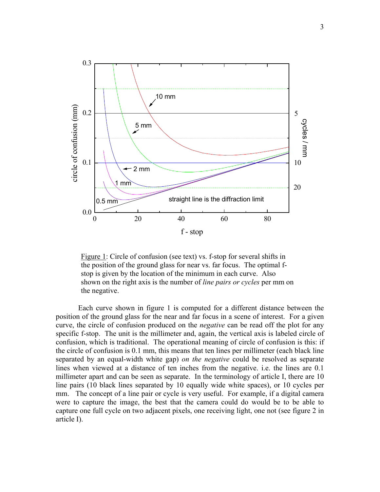

Figure 1: Circle of confusion (see text) vs. f-stop for several shifts in the position of the ground glass for near vs. far focus. The optimal fstop is given by the location of the minimum in each curve. Also shown on the right axis is the number of *line pairs or cycles* per mm on the negative.

 Each curve shown in figure 1 is computed for a different distance between the position of the ground glass for the near and far focus in a scene of interest. For a given curve, the circle of confusion produced on the *negative* can be read off the plot for any specific f-stop. The unit is the millimeter and, again, the vertical axis is labeled circle of confusion, which is traditional. The operational meaning of circle of confusion is this: if the circle of confusion is 0.1 mm, this means that ten lines per millimeter (each black line separated by an equal-width white gap) *on the negative* could be resolved as separate lines when viewed at a distance of ten inches from the negative. i.e. the lines are 0.1 millimeter apart and can be seen as separate. In the terminology of article I, there are 10 line pairs (10 black lines separated by 10 equally wide white spaces), or 10 cycles per mm. The concept of a line pair or cycle is very useful. For example, if a digital camera were to capture the image, the best that the camera could do would be to be able to capture one full cycle on two adjacent pixels, one receiving light, one not (see figure 2 in article I).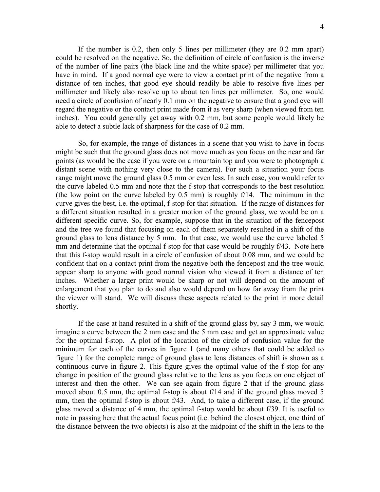If the number is 0.2, then only 5 lines per millimeter (they are 0.2 mm apart) could be resolved on the negative. So, the definition of circle of confusion is the inverse of the number of line pairs (the black line and the white space) per millimeter that you have in mind. If a good normal eye were to view a contact print of the negative from a distance of ten inches, that good eye should readily be able to resolve five lines per millimeter and likely also resolve up to about ten lines per millimeter. So, one would need a circle of confusion of nearly 0.1 mm on the negative to ensure that a good eye will regard the negative or the contact print made from it as very sharp (when viewed from ten inches). You could generally get away with 0.2 mm, but some people would likely be able to detect a subtle lack of sharpness for the case of 0.2 mm.

 So, for example, the range of distances in a scene that you wish to have in focus might be such that the ground glass does not move much as you focus on the near and far points (as would be the case if you were on a mountain top and you were to photograph a distant scene with nothing very close to the camera). For such a situation your focus range might move the ground glass 0.5 mm or even less. In such case, you would refer to the curve labeled 0.5 mm and note that the f-stop that corresponds to the best resolution (the low point on the curve labeled by 0.5 mm) is roughly f/14. The minimum in the curve gives the best, i.e. the optimal, f-stop for that situation. If the range of distances for a different situation resulted in a greater motion of the ground glass, we would be on a different specific curve. So, for example, suppose that in the situation of the fencepost and the tree we found that focusing on each of them separately resulted in a shift of the ground glass to lens distance by 5 mm. In that case, we would use the curve labeled 5 mm and determine that the optimal f-stop for that case would be roughly f/43. Note here that this f-stop would result in a circle of confusion of about 0.08 mm, and we could be confident that on a contact print from the negative both the fencepost and the tree would appear sharp to anyone with good normal vision who viewed it from a distance of ten inches. Whether a larger print would be sharp or not will depend on the amount of enlargement that you plan to do and also would depend on how far away from the print the viewer will stand. We will discuss these aspects related to the print in more detail shortly.

 If the case at hand resulted in a shift of the ground glass by, say 3 mm, we would imagine a curve between the 2 mm case and the 5 mm case and get an approximate value for the optimal f-stop. A plot of the location of the circle of confusion value for the minimum for each of the curves in figure 1 (and many others that could be added to figure 1) for the complete range of ground glass to lens distances of shift is shown as a continuous curve in figure 2. This figure gives the optimal value of the f-stop for any change in position of the ground glass relative to the lens as you focus on one object of interest and then the other. We can see again from figure 2 that if the ground glass moved about 0.5 mm, the optimal f-stop is about f/14 and if the ground glass moved 5 mm, then the optimal f-stop is about f/43. And, to take a different case, if the ground glass moved a distance of 4 mm, the optimal f-stop would be about f/39. It is useful to note in passing here that the actual focus point (i.e. behind the closest object, one third of the distance between the two objects) is also at the midpoint of the shift in the lens to the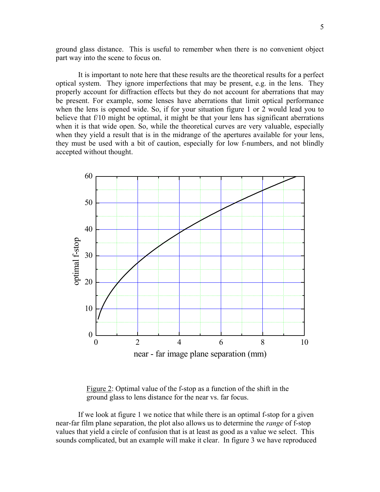ground glass distance. This is useful to remember when there is no convenient object part way into the scene to focus on.

 It is important to note here that these results are the theoretical results for a perfect optical system. They ignore imperfections that may be present, e.g. in the lens. They properly account for diffraction effects but they do not account for aberrations that may be present. For example, some lenses have aberrations that limit optical performance when the lens is opened wide. So, if for your situation figure 1 or 2 would lead you to believe that f/10 might be optimal, it might be that your lens has significant aberrations when it is that wide open. So, while the theoretical curves are very valuable, especially when they yield a result that is in the midrange of the apertures available for your lens, they must be used with a bit of caution, especially for low f-numbers, and not blindly accepted without thought.



Figure 2: Optimal value of the f-stop as a function of the shift in the ground glass to lens distance for the near vs. far focus.

 If we look at figure 1 we notice that while there is an optimal f-stop for a given near-far film plane separation, the plot also allows us to determine the *range* of f-stop values that yield a circle of confusion that is at least as good as a value we select. This sounds complicated, but an example will make it clear. In figure 3 we have reproduced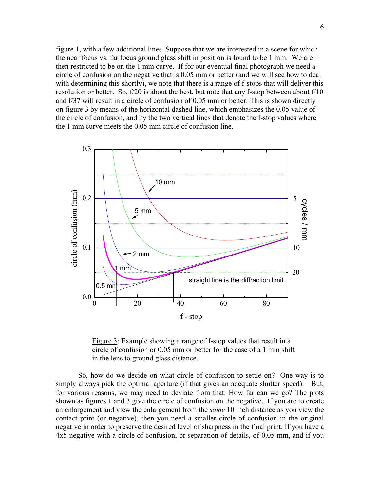figure 1, with a few additional lines. Suppose that we are interested in a scene for which the near focus vs. far focus ground glass shift in position is found to be 1 mm. We are then restricted to be on the 1 mm curve. If for our eventual final photograph we need a circle of confusion on the negative that is 0.05 mm or better (and we will see how to deal with determining this shortly), we note that there is a range of f-stops that will deliver this resolution or better. So, f/20 is about the best, but note that any f-stop between about f/10 and f/37 will result in a circle of confusion of 0.05 mm or better. This is shown directly on figure 3 by means of the horizontal dashed line, which emphasizes the 0.05 value of the circle of confusion, and by the two vertical lines that denote the f-stop values where the 1 mm curve meets the 0.05 mm circle of confusion line.



 Figure 3: Example showing a range of f-stop values that result in a circle of confusion or 0.05 mm or better for the case of a 1 mm shift in the lens to ground glass distance.

 So, how do we decide on what circle of confusion to settle on? One way is to simply always pick the optimal aperture (if that gives an adequate shutter speed). But, for various reasons, we may need to deviate from that. How far can we go? The plots shown as figures 1 and 3 give the circle of confusion on the negative. If you are to create an enlargement and view the enlargement from the *same* 10 inch distance as you view the contact print (or negative), then you need a smaller circle of confusion in the original negative in order to preserve the desired level of sharpness in the final print. If you have a 4x5 negative with a circle of confusion, or separation of details, of 0.05 mm, and if you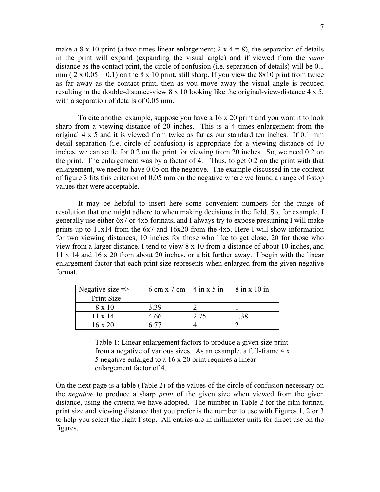make a 8 x 10 print (a two times linear enlargement; 2 x  $4 = 8$ ), the separation of details in the print will expand (expanding the visual angle) and if viewed from the *same* distance as the contact print, the circle of confusion (i.e. separation of details) will be 0.1 mm (  $2 \times 0.05 = 0.1$ ) on the 8 x 10 print, still sharp. If you view the 8x10 print from twice as far away as the contact print, then as you move away the visual angle is reduced resulting in the double-distance-view 8 x 10 looking like the original-view-distance 4 x 5, with a separation of details of 0.05 mm.

 To cite another example, suppose you have a 16 x 20 print and you want it to look sharp from a viewing distance of 20 inches. This is a 4 times enlargement from the original 4 x 5 and it is viewed from twice as far as our standard ten inches. If 0.1 mm detail separation (i.e. circle of confusion) is appropriate for a viewing distance of 10 inches, we can settle for 0.2 on the print for viewing from 20 inches. So, we need 0.2 on the print. The enlargement was by a factor of 4. Thus, to get 0.2 on the print with that enlargement, we need to have 0.05 on the negative. The example discussed in the context of figure 3 fits this criterion of 0.05 mm on the negative where we found a range of f-stop values that were acceptable.

 It may be helpful to insert here some convenient numbers for the range of resolution that one might adhere to when making decisions in the field. So, for example, I generally use either 6x7 or 4x5 formats, and I always try to expose presuming I will make prints up to 11x14 from the 6x7 and 16x20 from the 4x5. Here I will show information for two viewing distances, 10 inches for those who like to get close, 20 for those who view from a larger distance. I tend to view 8 x 10 from a distance of about 10 inches, and 11 x 14 and 16 x 20 from about 20 inches, or a bit further away. I begin with the linear enlargement factor that each print size represents when enlarged from the given negative format.

| Negative size $\Rightarrow$ | $6 \text{ cm} \times 7 \text{ cm}$   4 in x 5 in | $8$ in x 10 in |
|-----------------------------|--------------------------------------------------|----------------|
| Print Size                  |                                                  |                |
| $8 \times 10$               | 3 39                                             |                |
| $11 \times 14$              | 4.66                                             |                |
| 16 x 20                     |                                                  |                |

Table 1: Linear enlargement factors to produce a given size print from a negative of various sizes. As an example, a full-frame 4 x 5 negative enlarged to a 16 x 20 print requires a linear enlargement factor of 4.

On the next page is a table (Table 2) of the values of the circle of confusion necessary on the *negative* to produce a sharp *print* of the given size when viewed from the given distance, using the criteria we have adopted. The number in Table 2 for the film format, print size and viewing distance that you prefer is the number to use with Figures 1, 2 or 3 to help you select the right f-stop. All entries are in millimeter units for direct use on the figures.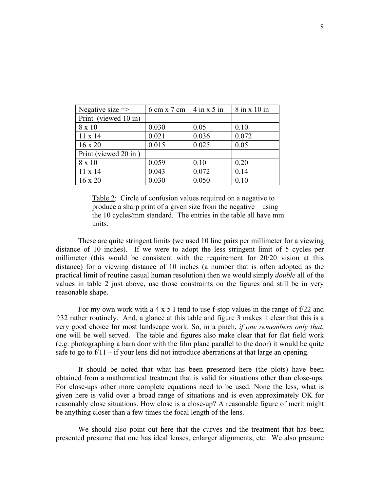| Negative size $\Rightarrow$ | 6 cm x 7 cm $\vert$ 4 in x 5 in |       | $8$ in x 10 in |
|-----------------------------|---------------------------------|-------|----------------|
| Print (viewed 10 in)        |                                 |       |                |
| 8 x 10                      | 0.030                           | 0.05  | 0.10           |
| $11 \times 14$              | 0.021                           | 0.036 | 0.072          |
| $16 \times 20$              | 0.015                           | 0.025 | 0.05           |
| Print (viewed 20 in)        |                                 |       |                |
| 8 x 10                      | 0.059                           | 0.10  | 0.20           |
| $11 \times 14$              | 0.043                           | 0.072 | 0.14           |
| $16 \times 20$              | 0.030                           | 0.050 | 0.10           |

Table 2: Circle of confusion values required on a negative to produce a sharp print of a given size from the negative – using the 10 cycles/mm standard. The entries in the table all have mm units.

 These are quite stringent limits (we used 10 line pairs per millimeter for a viewing distance of 10 inches). If we were to adopt the less stringent limit of 5 cycles per millimeter (this would be consistent with the requirement for 20/20 vision at this distance) for a viewing distance of 10 inches (a number that is often adopted as the practical limit of routine casual human resolution) then we would simply *double* all of the values in table 2 just above, use those constraints on the figures and still be in very reasonable shape.

 For my own work with a 4 x 5 I tend to use f-stop values in the range of f/22 and f/32 rather routinely. And, a glance at this table and figure 3 makes it clear that this is a very good choice for most landscape work. So, in a pinch, *if one remembers only that*, one will be well served. The table and figures also make clear that for flat field work (e.g. photographing a barn door with the film plane parallel to the door) it would be quite safe to go to  $f/11 - if$  your lens did not introduce aberrations at that large an opening.

 It should be noted that what has been presented here (the plots) have been obtained from a mathematical treatment that is valid for situations other than close-ups. For close-ups other more complete equations need to be used. None the less, what is given here is valid over a broad range of situations and is even approximately OK for reasonably close situations. How close is a close-up? A reasonable figure of merit might be anything closer than a few times the focal length of the lens.

 We should also point out here that the curves and the treatment that has been presented presume that one has ideal lenses, enlarger alignments, etc. We also presume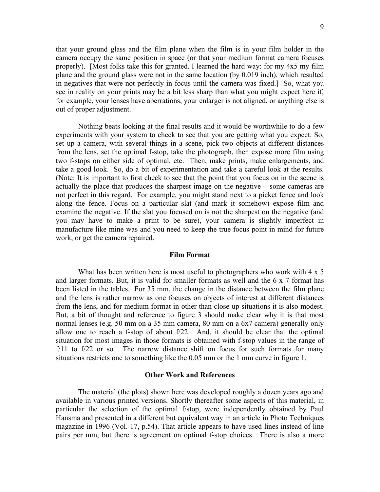that your ground glass and the film plane when the film is in your film holder in the camera occupy the same position in space (or that your medium format camera focuses properly). [Most folks take this for granted. I learned the hard way: for my 4x5 my film plane and the ground glass were not in the same location (by 0.019 inch), which resulted in negatives that were not perfectly in focus until the camera was fixed.] So, what you see in reality on your prints may be a bit less sharp than what you might expect here if, for example, your lenses have aberrations, your enlarger is not aligned, or anything else is out of proper adjustment.

 Nothing beats looking at the final results and it would be worthwhile to do a few experiments with your system to check to see that you are getting what you expect. So, set up a camera, with several things in a scene, pick two objects at different distances from the lens, set the optimal f-stop, take the photograph, then expose more film using two f-stops on either side of optimal, etc. Then, make prints, make enlargements, and take a good look. So, do a bit of experimentation and take a careful look at the results. (Note: It is important to first check to see that the point that you focus on in the scene is actually the place that produces the sharpest image on the negative – some cameras are not perfect in this regard. For example, you might stand next to a picket fence and look along the fence. Focus on a particular slat (and mark it somehow) expose film and examine the negative. If the slat you focused on is not the sharpest on the negative (and you may have to make a print to be sure), your camera is slightly imperfect in manufacture like mine was and you need to keep the true focus point in mind for future work, or get the camera repaired.

#### **Film Format**

What has been written here is most useful to photographers who work with  $4 \times 5$ and larger formats. But, it is valid for smaller formats as well and the 6 x 7 format has been listed in the tables. For 35 mm, the change in the distance between the film plane and the lens is rather narrow as one focuses on objects of interest at different distances from the lens, and for medium format in other than close-up situations it is also modest. But, a bit of thought and reference to figure 3 should make clear why it is that most normal lenses (e.g. 50 mm on a 35 mm camera, 80 mm on a 6x7 camera) generally only allow one to reach a f-stop of about f/22. And, it should be clear that the optimal situation for most images in those formats is obtained with f-stop values in the range of  $f/11$  to  $f/22$  or so. The narrow distance shift on focus for such formats for many situations restricts one to something like the 0.05 mm or the 1 mm curve in figure 1.

#### **Other Work and References**

 The material (the plots) shown here was developed roughly a dozen years ago and available in various printed versions. Shortly thereafter some aspects of this material, in particular the selection of the optimal f/stop, were independently obtained by Paul Hansma and presented in a different but equivalent way in an article in Photo Techniques magazine in 1996 (Vol. 17, p.54). That article appears to have used lines instead of line pairs per mm, but there is agreement on optimal f-stop choices. There is also a more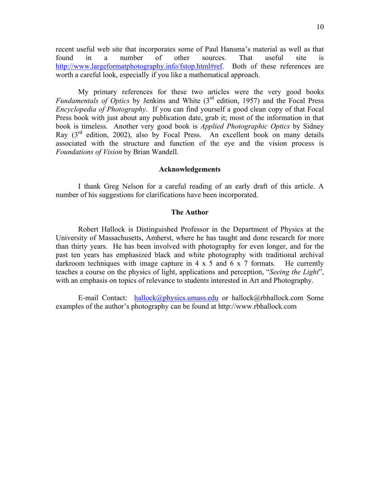recent useful web site that incorporates some of Paul Hansma's material as well as that found in a number of other sources. That useful site is http://www.largeformatphotography.info/fstop.html#ref. Both of these references are worth a careful look, especially if you like a mathematical approach.

 My primary references for these two articles were the very good books *Fundamentals of Optics* by Jenkins and White (3rd edition, 1957) and the Focal Press *Encyclopedia of Photography*. If you can find yourself a good clean copy of that Focal Press book with just about any publication date, grab it; most of the information in that book is timeless. Another very good book is *Applied Photographic Optics* by Sidney Ray  $(3<sup>rd</sup>$  edition, 2002), also by Focal Press. An excellent book on many details associated with the structure and function of the eye and the vision process is *Foundations of Vision* by Brian Wandell.

# **Acknowledgements**

 I thank Greg Nelson for a careful reading of an early draft of this article. A number of his suggestions for clarifications have been incorporated.

#### **The Author**

 Robert Hallock is Distinguished Professor in the Department of Physics at the University of Massachusetts, Amherst, where he has taught and done research for more than thirty years. He has been involved with photography for even longer, and for the past ten years has emphasized black and white photography with traditional archival darkroom techniques with image capture in  $4 \times 5$  and  $6 \times 7$  formats. He currently teaches a course on the physics of light, applications and perception, "*Seeing the Light*", with an emphasis on topics of relevance to students interested in Art and Photography.

E-mail Contact: hallock@physics.umass.edu or hallock@rbhallock.com Some examples of the author's photography can be found at http://www.rbhallock.com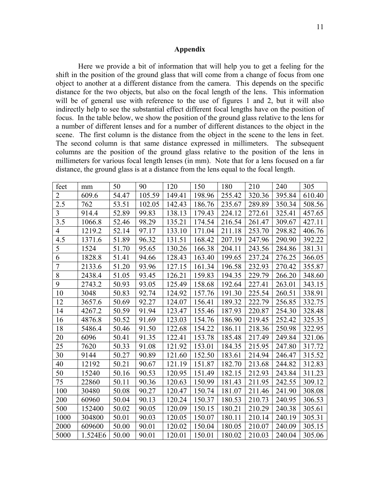# **Appendix**

 Here we provide a bit of information that will help you to get a feeling for the shift in the position of the ground glass that will come from a change of focus from one object to another at a different distance from the camera. This depends on the specific distance for the two objects, but also on the focal length of the lens. This information will be of general use with reference to the use of figures 1 and 2, but it will also indirectly help to see the substantial effect different focal lengths have on the position of focus. In the table below, we show the position of the ground glass relative to the lens for a number of different lenses and for a number of different distances to the object in the scene. The first column is the distance from the object in the scene to the lens in feet. The second column is that same distance expressed in millimeters. The subsequent columns are the position of the ground glass relative to the position of the lens in millimeters for various focal length lenses (in mm). Note that for a lens focused on a far distance, the ground glass is at a distance from the lens equal to the focal length.

| feet           | mm      | 50    | 90     | 120    | 150    | 180    | 210    | 240    | 305    |
|----------------|---------|-------|--------|--------|--------|--------|--------|--------|--------|
| $\overline{2}$ | 609.6   | 54.47 | 105.59 | 149.41 | 198.96 | 255.42 | 320.36 | 395.84 | 610.40 |
| 2.5            | 762     | 53.51 | 102.05 | 142.43 | 186.76 | 235.67 | 289.89 | 350.34 | 508.56 |
| 3              | 914.4   | 52.89 | 99.83  | 138.13 | 179.43 | 224.12 | 272.61 | 325.41 | 457.65 |
| 3.5            | 1066.8  | 52.46 | 98.29  | 135.21 | 174.54 | 216.54 | 261.47 | 309.67 | 427.11 |
| 4              | 1219.2  | 52.14 | 97.17  | 133.10 | 171.04 | 211.18 | 253.70 | 298.82 | 406.76 |
| 4.5            | 1371.6  | 51.89 | 96.32  | 131.51 | 168.42 | 207.19 | 247.96 | 290.90 | 392.22 |
| 5              | 1524    | 51.70 | 95.65  | 130.26 | 166.38 | 204.11 | 243.56 | 284.86 | 381.31 |
| 6              | 1828.8  | 51.41 | 94.66  | 128.43 | 163.40 | 199.65 | 237.24 | 276.25 | 366.05 |
| $\overline{7}$ | 2133.6  | 51.20 | 93.96  | 127.15 | 161.34 | 196.58 | 232.93 | 270.42 | 355.87 |
| 8              | 2438.4  | 51.05 | 93.45  | 126.21 | 159.83 | 194.35 | 229.79 | 266.20 | 348.60 |
| 9              | 2743.2  | 50.93 | 93.05  | 125.49 | 158.68 | 192.64 | 227.41 | 263.01 | 343.15 |
| 10             | 3048    | 50.83 | 92.74  | 124.92 | 157.76 | 191.30 | 225.54 | 260.51 | 338.91 |
| 12             | 3657.6  | 50.69 | 92.27  | 124.07 | 156.41 | 189.32 | 222.79 | 256.85 | 332.75 |
| 14             | 4267.2  | 50.59 | 91.94  | 123.47 | 155.46 | 187.93 | 220.87 | 254.30 | 328.48 |
| 16             | 4876.8  | 50.52 | 91.69  | 123.03 | 154.76 | 186.90 | 219.45 | 252.42 | 325.35 |
| 18             | 5486.4  | 50.46 | 91.50  | 122.68 | 154.22 | 186.11 | 218.36 | 250.98 | 322.95 |
| 20             | 6096    | 50.41 | 91.35  | 122.41 | 153.78 | 185.48 | 217.49 | 249.84 | 321.06 |
| 25             | 7620    | 50.33 | 91.08  | 121.92 | 153.01 | 184.35 | 215.95 | 247.80 | 317.72 |
| 30             | 9144    | 50.27 | 90.89  | 121.60 | 152.50 | 183.61 | 214.94 | 246.47 | 315.52 |
| 40             | 12192   | 50.21 | 90.67  | 121.19 | 151.87 | 182.70 | 213.68 | 244.82 | 312.83 |
| 50             | 15240   | 50.16 | 90.53  | 120.95 | 151.49 | 182.15 | 212.93 | 243.84 | 311.23 |
| 75             | 22860   | 50.11 | 90.36  | 120.63 | 150.99 | 181.43 | 211.95 | 242.55 | 309.12 |
| 100            | 30480   | 50.08 | 90.27  | 120.47 | 150.74 | 181.07 | 211.46 | 241.90 | 308.08 |
| 200            | 60960   | 50.04 | 90.13  | 120.24 | 150.37 | 180.53 | 210.73 | 240.95 | 306.53 |
| 500            | 152400  | 50.02 | 90.05  | 120.09 | 150.15 | 180.21 | 210.29 | 240.38 | 305.61 |
| 1000           | 304800  | 50.01 | 90.03  | 120.05 | 150.07 | 180.11 | 210.14 | 240.19 | 305.31 |
| 2000           | 609600  | 50.00 | 90.01  | 120.02 | 150.04 | 180.05 | 210.07 | 240.09 | 305.15 |
| 5000           | 1.524E6 | 50.00 | 90.01  | 120.01 | 150.01 | 180.02 | 210.03 | 240.04 | 305.06 |